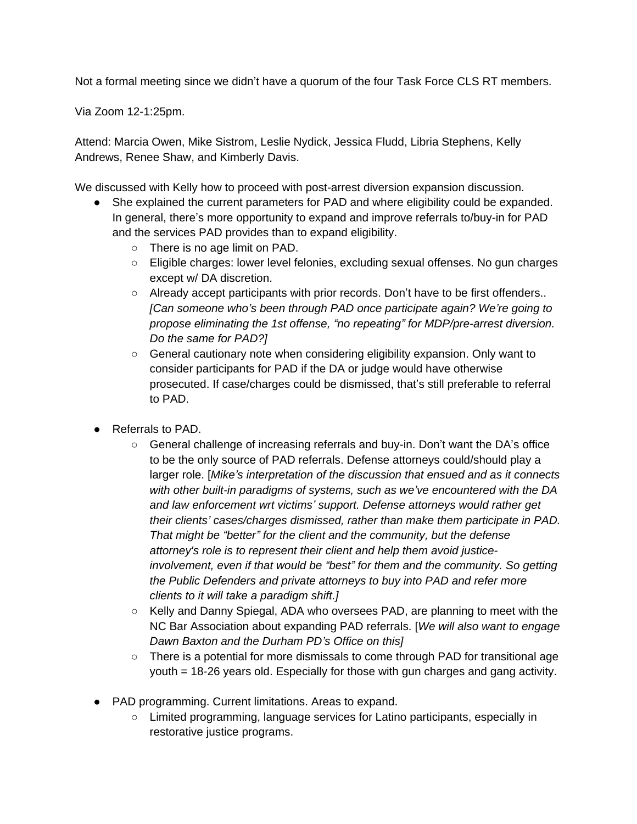Not a formal meeting since we didn't have a quorum of the four Task Force CLS RT members.

Via Zoom 12-1:25pm.

Attend: Marcia Owen, Mike Sistrom, Leslie Nydick, Jessica Fludd, Libria Stephens, Kelly Andrews, Renee Shaw, and Kimberly Davis.

We discussed with Kelly how to proceed with post-arrest diversion expansion discussion.

- She explained the current parameters for PAD and where eligibility could be expanded. In general, there's more opportunity to expand and improve referrals to/buy-in for PAD and the services PAD provides than to expand eligibility.
	- There is no age limit on PAD.
	- Eligible charges: lower level felonies, excluding sexual offenses. No gun charges except w/ DA discretion.
	- Already accept participants with prior records. Don't have to be first offenders.. *[Can someone who's been through PAD once participate again? We're going to propose eliminating the 1st offense, "no repeating" for MDP/pre-arrest diversion. Do the same for PAD?]*
	- General cautionary note when considering eligibility expansion. Only want to consider participants for PAD if the DA or judge would have otherwise prosecuted. If case/charges could be dismissed, that's still preferable to referral to PAD.
- Referrals to PAD.
	- General challenge of increasing referrals and buy-in. Don't want the DA's office to be the only source of PAD referrals. Defense attorneys could/should play a larger role. [*Mike's interpretation of the discussion that ensued and as it connects with other built-in paradigms of systems, such as we've encountered with the DA and law enforcement wrt victims' support. Defense attorneys would rather get their clients' cases/charges dismissed, rather than make them participate in PAD. That might be "better" for the client and the community, but the defense attorney's role is to represent their client and help them avoid justiceinvolvement, even if that would be "best" for them and the community. So getting the Public Defenders and private attorneys to buy into PAD and refer more clients to it will take a paradigm shift.]*
	- Kelly and Danny Spiegal, ADA who oversees PAD, are planning to meet with the NC Bar Association about expanding PAD referrals. [*We will also want to engage Dawn Baxton and the Durham PD's Office on this]*
	- There is a potential for more dismissals to come through PAD for transitional age youth = 18-26 years old. Especially for those with gun charges and gang activity.
- PAD programming. Current limitations. Areas to expand.
	- Limited programming, language services for Latino participants, especially in restorative justice programs.